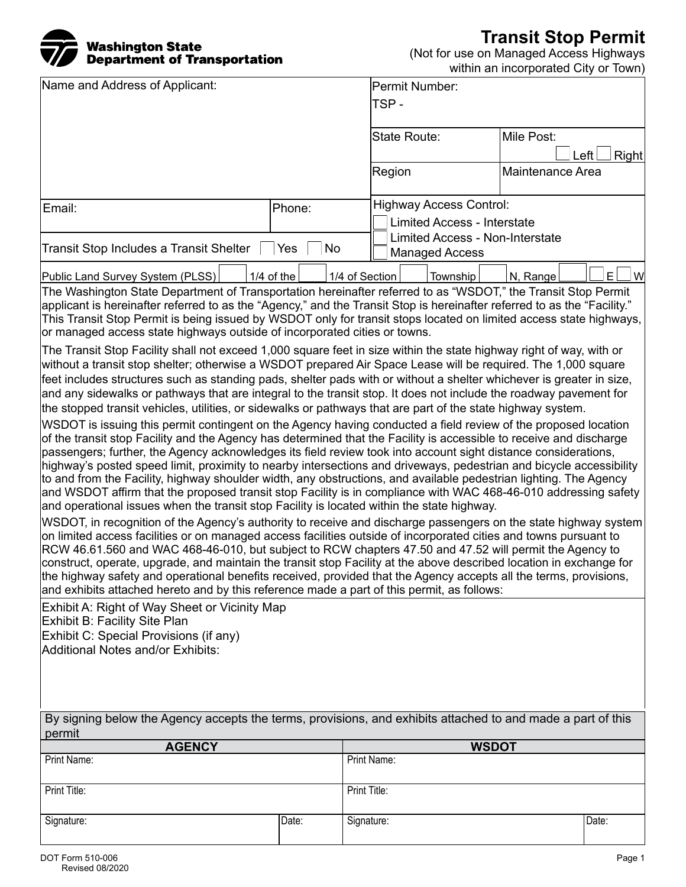## Washington State Department of Transportation

**Transit Stop Permit**

(Not for use on Managed Access Highways

| Department of Fransportation                                                                                                                                                                                                              |              |                |                                                                 |                                    | within an incorporated City or Town) |               |
|-------------------------------------------------------------------------------------------------------------------------------------------------------------------------------------------------------------------------------------------|--------------|----------------|-----------------------------------------------------------------|------------------------------------|--------------------------------------|---------------|
| Name and Address of Applicant:                                                                                                                                                                                                            |              |                | Permit Number:                                                  |                                    |                                      |               |
|                                                                                                                                                                                                                                           |              |                | TSP-                                                            |                                    |                                      |               |
|                                                                                                                                                                                                                                           |              |                |                                                                 |                                    |                                      |               |
|                                                                                                                                                                                                                                           |              |                | State Route:                                                    |                                    | Mile Post:                           |               |
|                                                                                                                                                                                                                                           |              |                |                                                                 |                                    |                                      | Left<br>Right |
|                                                                                                                                                                                                                                           |              |                | Region                                                          |                                    | Maintenance Area                     |               |
|                                                                                                                                                                                                                                           |              |                |                                                                 | $\overline{\phantom{0}}$           |                                      |               |
| Email:<br>Phone:                                                                                                                                                                                                                          |              |                | <b>Highway Access Control:</b>                                  |                                    |                                      |               |
|                                                                                                                                                                                                                                           |              |                |                                                                 | <b>Limited Access - Interstate</b> |                                      |               |
| Transit Stop Includes a Transit Shelter<br>No<br>Yes                                                                                                                                                                                      |              |                | <b>Limited Access - Non-Interstate</b><br><b>Managed Access</b> |                                    |                                      |               |
|                                                                                                                                                                                                                                           |              |                |                                                                 |                                    |                                      |               |
| Public Land Survey System (PLSS)                                                                                                                                                                                                          | $1/4$ of the | 1/4 of Section |                                                                 | Township                           | N, Range                             | E<br>W        |
| The Washington State Department of Transportation hereinafter referred to as "WSDOT," the Transit Stop Permit<br>applicant is hereinafter referred to as the "Agency," and the Transit Stop is hereinafter referred to as the "Facility." |              |                |                                                                 |                                    |                                      |               |
| This Transit Stop Permit is being issued by WSDOT only for transit stops located on limited access state highways,                                                                                                                        |              |                |                                                                 |                                    |                                      |               |
| or managed access state highways outside of incorporated cities or towns.                                                                                                                                                                 |              |                |                                                                 |                                    |                                      |               |
| The Transit Stop Facility shall not exceed 1,000 square feet in size within the state highway right of way, with or                                                                                                                       |              |                |                                                                 |                                    |                                      |               |
| without a transit stop shelter; otherwise a WSDOT prepared Air Space Lease will be required. The 1,000 square                                                                                                                             |              |                |                                                                 |                                    |                                      |               |
| feet includes structures such as standing pads, shelter pads with or without a shelter whichever is greater in size,                                                                                                                      |              |                |                                                                 |                                    |                                      |               |
| and any sidewalks or pathways that are integral to the transit stop. It does not include the roadway pavement for<br>the stopped transit vehicles, utilities, or sidewalks or pathways that are part of the state highway system.         |              |                |                                                                 |                                    |                                      |               |
| WSDOT is issuing this permit contingent on the Agency having conducted a field review of the proposed location                                                                                                                            |              |                |                                                                 |                                    |                                      |               |
| of the transit stop Facility and the Agency has determined that the Facility is accessible to receive and discharge                                                                                                                       |              |                |                                                                 |                                    |                                      |               |
| passengers; further, the Agency acknowledges its field review took into account sight distance considerations,                                                                                                                            |              |                |                                                                 |                                    |                                      |               |
| highway's posted speed limit, proximity to nearby intersections and driveways, pedestrian and bicycle accessibility                                                                                                                       |              |                |                                                                 |                                    |                                      |               |
| to and from the Facility, highway shoulder width, any obstructions, and available pedestrian lighting. The Agency<br>and WSDOT affirm that the proposed transit stop Facility is in compliance with WAC 468-46-010 addressing safety      |              |                |                                                                 |                                    |                                      |               |
| and operational issues when the transit stop Facility is located within the state highway.                                                                                                                                                |              |                |                                                                 |                                    |                                      |               |
| WSDOT, in recognition of the Agency's authority to receive and discharge passengers on the state highway system                                                                                                                           |              |                |                                                                 |                                    |                                      |               |
| on limited access facilities or on managed access facilities outside of incorporated cities and towns pursuant to                                                                                                                         |              |                |                                                                 |                                    |                                      |               |
| RCW 46.61.560 and WAC 468-46-010, but subject to RCW chapters 47.50 and 47.52 will permit the Agency to                                                                                                                                   |              |                |                                                                 |                                    |                                      |               |
| construct, operate, upgrade, and maintain the transit stop Facility at the above described location in exchange for<br>the highway safety and operational benefits received, provided that the Agency accepts all the terms, provisions,  |              |                |                                                                 |                                    |                                      |               |
| and exhibits attached hereto and by this reference made a part of this permit, as follows:                                                                                                                                                |              |                |                                                                 |                                    |                                      |               |
| Exhibit A: Right of Way Sheet or Vicinity Map                                                                                                                                                                                             |              |                |                                                                 |                                    |                                      |               |
| Exhibit B: Facility Site Plan                                                                                                                                                                                                             |              |                |                                                                 |                                    |                                      |               |
| Exhibit C: Special Provisions (if any)                                                                                                                                                                                                    |              |                |                                                                 |                                    |                                      |               |
| Additional Notes and/or Exhibits:                                                                                                                                                                                                         |              |                |                                                                 |                                    |                                      |               |
|                                                                                                                                                                                                                                           |              |                |                                                                 |                                    |                                      |               |
|                                                                                                                                                                                                                                           |              |                |                                                                 |                                    |                                      |               |
|                                                                                                                                                                                                                                           |              |                |                                                                 |                                    |                                      |               |
| By signing below the Agency accepts the terms, provisions, and exhibits attached to and made a part of this<br>permit                                                                                                                     |              |                |                                                                 |                                    |                                      |               |
| <b>AGENCY</b>                                                                                                                                                                                                                             |              |                |                                                                 |                                    | <b>WSDOT</b>                         |               |
| Print Name:                                                                                                                                                                                                                               |              |                | Print Name:                                                     |                                    |                                      |               |
|                                                                                                                                                                                                                                           |              | Print Title:   |                                                                 |                                    |                                      |               |
| Print Title:                                                                                                                                                                                                                              |              |                |                                                                 |                                    |                                      |               |
| Signature:                                                                                                                                                                                                                                | Date:        | Signature:     |                                                                 |                                    |                                      | Date:         |

 $\begin{bmatrix} \nabla \cdot \mathbf{R} & \mathbf{R} \\ \nabla \cdot \mathbf{R} & \mathbf{R} \end{bmatrix}$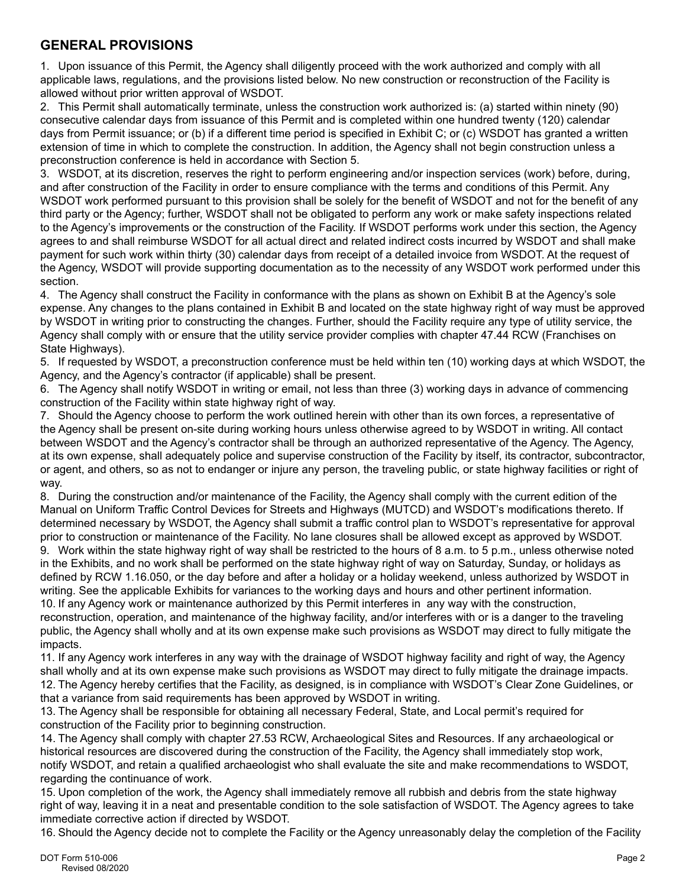## **GENERAL PROVISIONS**

1. Upon issuance of this Permit, the Agency shall diligently proceed with the work authorized and comply with all applicable laws, regulations, and the provisions listed below. No new construction or reconstruction of the Facility is allowed without prior written approval of WSDOT.

2. This Permit shall automatically terminate, unless the construction work authorized is: (a) started within ninety (90) consecutive calendar days from issuance of this Permit and is completed within one hundred twenty (120) calendar days from Permit issuance; or (b) if a different time period is specified in Exhibit C; or (c) WSDOT has granted a written extension of time in which to complete the construction. In addition, the Agency shall not begin construction unless a preconstruction conference is held in accordance with Section 5.

3. WSDOT, at its discretion, reserves the right to perform engineering and/or inspection services (work) before, during, and after construction of the Facility in order to ensure compliance with the terms and conditions of this Permit. Any WSDOT work performed pursuant to this provision shall be solely for the benefit of WSDOT and not for the benefit of any third party or the Agency; further, WSDOT shall not be obligated to perform any work or make safety inspections related to the Agency's improvements or the construction of the Facility. If WSDOT performs work under this section, the Agency agrees to and shall reimburse WSDOT for all actual direct and related indirect costs incurred by WSDOT and shall make payment for such work within thirty (30) calendar days from receipt of a detailed invoice from WSDOT. At the request of the Agency, WSDOT will provide supporting documentation as to the necessity of any WSDOT work performed under this section.

4. The Agency shall construct the Facility in conformance with the plans as shown on Exhibit B at the Agency's sole expense. Any changes to the plans contained in Exhibit B and located on the state highway right of way must be approved by WSDOT in writing prior to constructing the changes. Further, should the Facility require any type of utility service, the Agency shall comply with or ensure that the utility service provider complies with chapter 47.44 RCW (Franchises on State Highways).

5. If requested by WSDOT, a preconstruction conference must be held within ten (10) working days at which WSDOT, the Agency, and the Agency's contractor (if applicable) shall be present.

6. The Agency shall notify WSDOT in writing or email, not less than three (3) working days in advance of commencing construction of the Facility within state highway right of way.

7. Should the Agency choose to perform the work outlined herein with other than its own forces, a representative of the Agency shall be present on-site during working hours unless otherwise agreed to by WSDOT in writing. All contact between WSDOT and the Agency's contractor shall be through an authorized representative of the Agency. The Agency, at its own expense, shall adequately police and supervise construction of the Facility by itself, its contractor, subcontractor, or agent, and others, so as not to endanger or injure any person, the traveling public, or state highway facilities or right of way.

8. During the construction and/or maintenance of the Facility, the Agency shall comply with the current edition of the Manual on Uniform Traffic Control Devices for Streets and Highways (MUTCD) and WSDOT's modifications thereto. If determined necessary by WSDOT, the Agency shall submit a traffic control plan to WSDOT's representative for approval prior to construction or maintenance of the Facility. No lane closures shall be allowed except as approved by WSDOT.

9. Work within the state highway right of way shall be restricted to the hours of 8 a.m. to 5 p.m., unless otherwise noted in the Exhibits, and no work shall be performed on the state highway right of way on Saturday, Sunday, or holidays as defined by RCW 1.16.050, or the day before and after a holiday or a holiday weekend, unless authorized by WSDOT in writing. See the applicable Exhibits for variances to the working days and hours and other pertinent information. 10. If any Agency work or maintenance authorized by this Permit interferes in any way with the construction,

reconstruction, operation, and maintenance of the highway facility, and/or interferes with or is a danger to the traveling public, the Agency shall wholly and at its own expense make such provisions as WSDOT may direct to fully mitigate the impacts.

11. If any Agency work interferes in any way with the drainage of WSDOT highway facility and right of way, the Agency shall wholly and at its own expense make such provisions as WSDOT may direct to fully mitigate the drainage impacts. 12. The Agency hereby certifies that the Facility, as designed, is in compliance with WSDOT's Clear Zone Guidelines, or that a variance from said requirements has been approved by WSDOT in writing.

13. The Agency shall be responsible for obtaining all necessary Federal, State, and Local permit's required for construction of the Facility prior to beginning construction.

14. The Agency shall comply with chapter 27.53 RCW, Archaeological Sites and Resources. If any archaeological or historical resources are discovered during the construction of the Facility, the Agency shall immediately stop work, notify WSDOT, and retain a qualified archaeologist who shall evaluate the site and make recommendations to WSDOT, regarding the continuance of work.

15. Upon completion of the work, the Agency shall immediately remove all rubbish and debris from the state highway right of way, leaving it in a neat and presentable condition to the sole satisfaction of WSDOT. The Agency agrees to take immediate corrective action if directed by WSDOT.

16. Should the Agency decide not to complete the Facility or the Agency unreasonably delay the completion of the Facility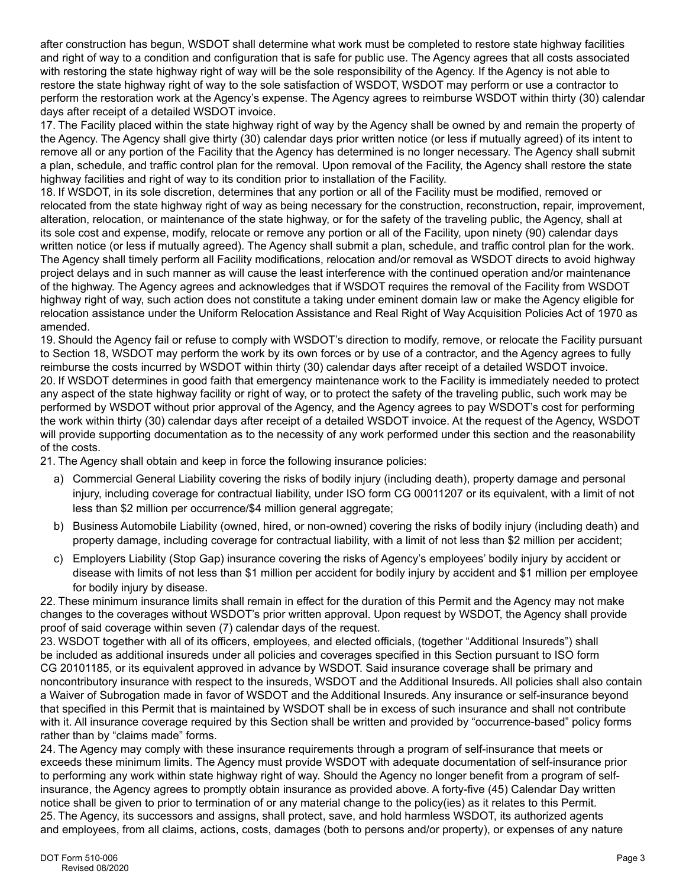after construction has begun, WSDOT shall determine what work must be completed to restore state highway facilities and right of way to a condition and configuration that is safe for public use. The Agency agrees that all costs associated with restoring the state highway right of way will be the sole responsibility of the Agency. If the Agency is not able to restore the state highway right of way to the sole satisfaction of WSDOT, WSDOT may perform or use a contractor to perform the restoration work at the Agency's expense. The Agency agrees to reimburse WSDOT within thirty (30) calendar days after receipt of a detailed WSDOT invoice.

17. The Facility placed within the state highway right of way by the Agency shall be owned by and remain the property of the Agency. The Agency shall give thirty (30) calendar days prior written notice (or less if mutually agreed) of its intent to remove all or any portion of the Facility that the Agency has determined is no longer necessary. The Agency shall submit a plan, schedule, and traffic control plan for the removal. Upon removal of the Facility, the Agency shall restore the state highway facilities and right of way to its condition prior to installation of the Facility.

18. If WSDOT, in its sole discretion, determines that any portion or all of the Facility must be modified, removed or relocated from the state highway right of way as being necessary for the construction, reconstruction, repair, improvement, alteration, relocation, or maintenance of the state highway, or for the safety of the traveling public, the Agency, shall at its sole cost and expense, modify, relocate or remove any portion or all of the Facility, upon ninety (90) calendar days written notice (or less if mutually agreed). The Agency shall submit a plan, schedule, and traffic control plan for the work. The Agency shall timely perform all Facility modifications, relocation and/or removal as WSDOT directs to avoid highway project delays and in such manner as will cause the least interference with the continued operation and/or maintenance of the highway. The Agency agrees and acknowledges that if WSDOT requires the removal of the Facility from WSDOT highway right of way, such action does not constitute a taking under eminent domain law or make the Agency eligible for relocation assistance under the Uniform Relocation Assistance and Real Right of Way Acquisition Policies Act of 1970 as amended.

19. Should the Agency fail or refuse to comply with WSDOT's direction to modify, remove, or relocate the Facility pursuant to Section 18, WSDOT may perform the work by its own forces or by use of a contractor, and the Agency agrees to fully reimburse the costs incurred by WSDOT within thirty (30) calendar days after receipt of a detailed WSDOT invoice. 20. If WSDOT determines in good faith that emergency maintenance work to the Facility is immediately needed to protect any aspect of the state highway facility or right of way, or to protect the safety of the traveling public, such work may be performed by WSDOT without prior approval of the Agency, and the Agency agrees to pay WSDOT's cost for performing the work within thirty (30) calendar days after receipt of a detailed WSDOT invoice. At the request of the Agency, WSDOT will provide supporting documentation as to the necessity of any work performed under this section and the reasonability of the costs.

21. The Agency shall obtain and keep in force the following insurance policies:

- a) Commercial General Liability covering the risks of bodily injury (including death), property damage and personal injury, including coverage for contractual liability, under ISO form CG 00011207 or its equivalent, with a limit of not less than \$2 million per occurrence/\$4 million general aggregate;
- b) Business Automobile Liability (owned, hired, or non-owned) covering the risks of bodily injury (including death) and property damage, including coverage for contractual liability, with a limit of not less than \$2 million per accident;
- c) Employers Liability (Stop Gap) insurance covering the risks of Agency's employees' bodily injury by accident or disease with limits of not less than \$1 million per accident for bodily injury by accident and \$1 million per employee for bodily injury by disease.

22. These minimum insurance limits shall remain in effect for the duration of this Permit and the Agency may not make changes to the coverages without WSDOT's prior written approval. Upon request by WSDOT, the Agency shall provide proof of said coverage within seven (7) calendar days of the request.

23. WSDOT together with all of its officers, employees, and elected officials, (together "Additional Insureds") shall be included as additional insureds under all policies and coverages specified in this Section pursuant to ISO form CG 20101185, or its equivalent approved in advance by WSDOT. Said insurance coverage shall be primary and noncontributory insurance with respect to the insureds, WSDOT and the Additional Insureds. All policies shall also contain a Waiver of Subrogation made in favor of WSDOT and the Additional Insureds. Any insurance or self-insurance beyond that specified in this Permit that is maintained by WSDOT shall be in excess of such insurance and shall not contribute with it. All insurance coverage required by this Section shall be written and provided by "occurrence-based" policy forms rather than by "claims made" forms.

24. The Agency may comply with these insurance requirements through a program of self-insurance that meets or exceeds these minimum limits. The Agency must provide WSDOT with adequate documentation of self-insurance prior to performing any work within state highway right of way. Should the Agency no longer benefit from a program of selfinsurance, the Agency agrees to promptly obtain insurance as provided above. A forty-five (45) Calendar Day written notice shall be given to prior to termination of or any material change to the policy(ies) as it relates to this Permit. 25. The Agency, its successors and assigns, shall protect, save, and hold harmless WSDOT, its authorized agents and employees, from all claims, actions, costs, damages (both to persons and/or property), or expenses of any nature